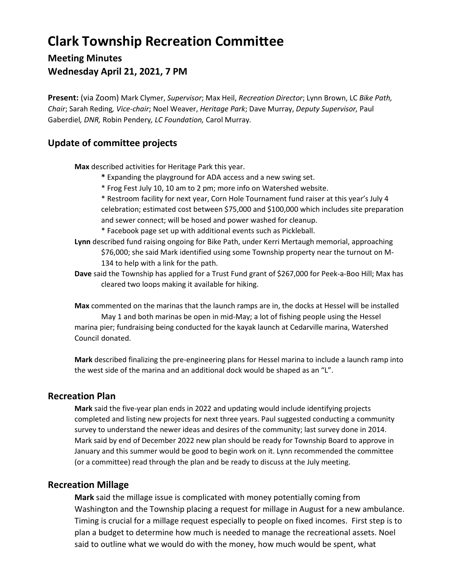# **Clark Township Recreation Committee**

## **Meeting Minutes Wednesday April 21, 2021, 7 PM**

**Present:** (via Zoom) Mark Clymer, *Supervisor*; Max Heil, *Recreation Director*; Lynn Brown, LC *Bike Path, Chair*; Sarah Reding*, Vice-chair*; Noel Weaver, *Heritage Park*; Dave Murray, *Deputy Supervisor,* Paul Gaberdiel*, DNR,* Robin Pendery*, LC Foundation,* Carol Murray*.*

### **Update of committee projects**

**Max** described activities for Heritage Park this year.

- **\*** Expanding the playground for ADA access and a new swing set.
- \* Frog Fest July 10, 10 am to 2 pm; more info on Watershed website.
- \* Restroom facility for next year, Corn Hole Tournament fund raiser at this year's July 4 celebration; estimated cost between \$75,000 and \$100,000 which includes site preparation and sewer connect; will be hosed and power washed for cleanup.

\* Facebook page set up with additional events such as Pickleball.

**Lynn** described fund raising ongoing for Bike Path, under Kerri Mertaugh memorial, approaching \$76,000; she said Mark identified using some Township property near the turnout on M-134 to help with a link for the path.

**Dave** said the Township has applied for a Trust Fund grant of \$267,000 for Peek-a-Boo Hill; Max has cleared two loops making it available for hiking.

**Max** commented on the marinas that the launch ramps are in, the docks at Hessel will be installed May 1 and both marinas be open in mid-May; a lot of fishing people using the Hessel marina pier; fundraising being conducted for the kayak launch at Cedarville marina, Watershed Council donated.

**Mark** described finalizing the pre-engineering plans for Hessel marina to include a launch ramp into the west side of the marina and an additional dock would be shaped as an "L".

#### **Recreation Plan**

**Mark** said the five-year plan ends in 2022 and updating would include identifying projects completed and listing new projects for next three years. Paul suggested conducting a community survey to understand the newer ideas and desires of the community; last survey done in 2014. Mark said by end of December 2022 new plan should be ready for Township Board to approve in January and this summer would be good to begin work on it. Lynn recommended the committee (or a committee) read through the plan and be ready to discuss at the July meeting.

#### **Recreation Millage**

**Mark** said the millage issue is complicated with money potentially coming from Washington and the Township placing a request for millage in August for a new ambulance. Timing is crucial for a millage request especially to people on fixed incomes. First step is to plan a budget to determine how much is needed to manage the recreational assets. Noel said to outline what we would do with the money, how much would be spent, what